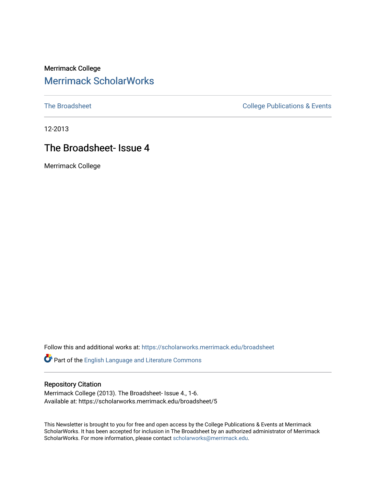## Merrimack College [Merrimack ScholarWorks](https://scholarworks.merrimack.edu/)

[The Broadsheet](https://scholarworks.merrimack.edu/broadsheet) **College Publications & Events** 

12-2013

## The Broadsheet- Issue 4

Merrimack College

Follow this and additional works at: [https://scholarworks.merrimack.edu/broadsheet](https://scholarworks.merrimack.edu/broadsheet?utm_source=scholarworks.merrimack.edu%2Fbroadsheet%2F5&utm_medium=PDF&utm_campaign=PDFCoverPages) 

Part of the [English Language and Literature Commons](http://network.bepress.com/hgg/discipline/455?utm_source=scholarworks.merrimack.edu%2Fbroadsheet%2F5&utm_medium=PDF&utm_campaign=PDFCoverPages)

#### Repository Citation

Merrimack College (2013). The Broadsheet- Issue 4., 1-6. Available at: https://scholarworks.merrimack.edu/broadsheet/5

This Newsletter is brought to you for free and open access by the College Publications & Events at Merrimack ScholarWorks. It has been accepted for inclusion in The Broadsheet by an authorized administrator of Merrimack ScholarWorks. For more information, please contact [scholarworks@merrimack.edu.](mailto:scholarworks@merrimack.edu)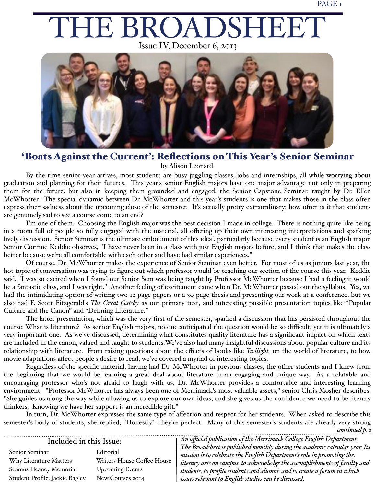# THE BROADSHEET

Issue IV, December 6, 2013



#### 'Boats Against the Current': Reflections on This Year's Senior Seminar by Alison Leonard

By the time senior year arrives, most students are busy juggling classes, jobs and internships, all while worrying about graduation and planning for their futures. This year's senior English majors have one major advantage not only in preparing them for the future, but also in keeping them grounded and engaged: the Senior Capstone Seminar, taught by Dr. Ellen McWhorter. The special dynamic between Dr. McWhorter and this year's students is one that makes those in the class often express their sadness about the upcoming close of the semester. It's actually pretty extraordinary; how often is it that students are genuinely sad to see a course come to an end?

I'm one of them. Choosing the English major was the best decision I made in college. There is nothing quite like being in a room full of people so fully engaged with the material, all offering up their own interesting interpretations and sparking lively discussion. Senior Seminar is the ultimate embodiment of this ideal, particularly because every student is an English major. Senior Corinne Keddie observes, "I have never been in a class with just English majors before, and I think that makes the class better because we're all comfortable with each other and have had similar experiences."

Of course, Dr. McWhorter makes the experience of Senior Seminar even better. For most of us as juniors last year, the hot topic of conversation was trying to figure out which professor would be teaching our section of the course this year. Keddie said, "I was so excited when I found out Senior Sem was being taught by Professor McWhorter because I had a feeling it would be a fantastic class, and I was right." Another feeling of excitement came when Dr. McWhorter passed out the syllabus. Yes, we had the intimidating option of writing two 12 page papers or a 30 page thesis and presenting our work at a conference, but we also had F. Scott Fitzgerald's *The Great Gatsby* as our primary text, and interesting possible presentation topics like "Popular Culture and the Canon" and "Defining Literature."

The latter presentation, which was the very first of the semester, sparked a discussion that has persisted throughout the course: What is literature? As senior English majors, no one anticipated the question would be so difficult, yet it is ultimately a very important one. As we've discussed, determining what constitutes quality literature has a significant impact on which texts are included in the canon, valued and taught to students.We've also had many insightful discussions about popular culture and its relationship with literature. From raising questions about the effects of books like *Twilight* on the world of literature, to how movie adaptations affect people's desire to read, we've covered a myriad of interesting topics.

Regardless of the specific material, having had Dr. McWhorter in previous classes, the other students and I knew from the beginning that we would be learning a great deal about literature in an engaging and unique way. As a relatable and encouraging professor who's not afraid to laugh with us, Dr. McWhorter provides a comfortable and interesting learning environment. "Professor McWhorter has always been one of Merrimack's most valuable assets," senior Chris Mosher describes. "She guides us along the way while allowing us to explore our own ideas, and she gives us the confidence we need to be literary thinkers. Knowing we have her support is an incredible gift."

In turn, Dr. McWhorter expresses the same type of affection and respect for her students. When asked to describe this semester's body of students, she replied, "Honestly? They're perfect. Many of this semester's students are already very strong

*continued p. 2*

#### *An official publication of the Merrimack Co#ege English Department,*  Included in this Issue: *The Broadsheet is published monthly during the academic calendar year. Its*  Senior Seminar Editorial *mission is to celebrate the English Department's role in promoting the* Why Literature Matters Writers House Coffee House *literary arts on campus, to acknowledge the accomplishments of faculty and*  Seamus Heaney Memorial Upcoming Events *students, to profile students and alumni, and to create a forum in which*  Student Profile: Jackie Bagley New Courses 2014 *issues relevant to English studies can be discussed.*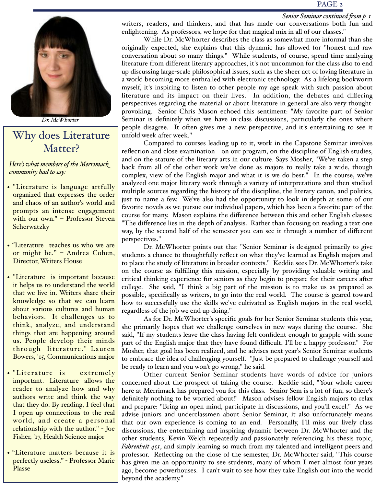#### PAGE 2

#### *Senior Seminar continued from p. 1*



*Dr. McWhorter*

# Why does Literature Matter?

*Here's what members of the Merrimack community had to say:*

- "Literature is language artfully organized that expresses the order and chaos of an author's world and prompts an intense engagement with our own." - Professor Steven **Scherwatzky**
- "Literature teaches us who we are or might be." – Andrea Cohen, Director, Writers House
- "Literature is important because it helps us to understand the world that we live in. Writers share their knowledge so that we can learn about various cultures and human behaviors. It challenges us to think, analyze, and understand things that are happening around us. People develop their minds through literature." Lauren Bowers, '15, Communications major
- "Literature is extremely important. Literature allows the reader to analyze how and why authors write and think the way that they do. By reading, I feel that I open up connections to the real world, and create a personal relationship with the author." - Joe Fisher, '17, Health Science major
- "Literature matters because it is perfectly useless." - Professor Marie Plasse

writers, readers, and thinkers, and that has made our conversations both fun and enlightening. As professors, we hope for that magical mix in all of our classes."

While Dr. McWhorter describes the class as somewhat more informal than she originally expected, she explains that this dynamic has allowed for "honest and raw conversation about so many things." While students, of course, spend time analyzing literature from different literary approaches, it's not uncommon for the class also to end up discussing large-scale philosophical issues, such as the sheer act of loving literature in a world becoming more enthralled with electronic technology. As a lifelong bookworm myself, it's inspiring to listen to other people my age speak with such passion about literature and its impact on their lives. In addition, the debates and differing perspectives regarding the material or about literature in general are also very thoughtprovoking. Senior Chris Mason echoed this sentiment: "My favorite part of Senior Seminar is definitely when we have in-class discussions, particularly the ones where people disagree. It often gives me a new perspective, and it's entertaining to see it unfold week after week."

Compared to courses leading up to it, work in the Capstone Seminar involves reflection and close examination—on our program, on the discipline of English studies, and on the stature of the literary arts in our culture. Says Mosher, "We've taken a step back from all of the other work we've done as majors to really take a wide, though complex, view of the English major and what it is we do best." In the course, we've analyzed one major literary work through a variety of interpretations and then studied multiple sources regarding the history of the discipline, the literary canon, and politics, just to name a few. We've also had the opportunity to look in-depth at some of our favorite novels as we pursue our individual papers, which has been a favorite part of the course for many. Mason explains the difference between this and other English classes: "The difference lies in the depth of analysis. Rather than focusing on reading a text one way, by the second half of the semester you can see it through a number of different perspectives."

Dr. McWhorter points out that "Senior Seminar is designed primarily to give students a chance to thoughtfully reflect on what they've learned as English majors and to place the study of literature in broader contexts." Keddie sees Dr. McWhorter's take on the course as fulfilling this mission, especially by providing valuable writing and critical thinking experience for seniors as they begin to prepare for their careers after college. She said, "I think a big part of the mission is to make us as prepared as possible, specifically as writers, to go into the real world. The course is geared toward how to successfully use the skills we've cultivated as English majors in the real world, regardless of the job we end up doing."

As for Dr. McWhorter's specific goals for her Senior Seminar students this year, she primarily hopes that we challenge ourselves in new ways during the course. She said, "If my students leave the class having felt confident enough to grapple with some part of the English major that they have found difficult, I'll be a happy professor." For Mosher, that goal has been realized, and he advises next year's Senior Seminar students to embrace the idea of challenging yourself. "Just be prepared to challenge yourself and be ready to learn and you won't go wrong," he said.

Other current Senior Seminar students have words of advice for juniors concerned about the prospect of taking the course. Keddie said, "Your whole career here at Merrimack has prepared you for this class. Senior Sem is a lot of fun, so there's definitely nothing to be worried about!" Mason advises fellow English majors to relax and prepare: "Bring an open mind, participate in discussions, and you'll excel." As we advise juniors and underclassmen about Senior Seminar, it also unfortunately means that our own experience is coming to an end. Personally, I'll miss our lively class discussions, the entertaining and inspiring dynamic between Dr. McWhorter and the other students, Kevin Welch repeatedly and passionately referencing his thesis topic, *Fahrenheit 451*, and simply learning so much from my talented and intelligent peers and professor. Reflecting on the close of the semester, Dr. McWhorter said, "This course has given me an opportunity to see students, many of whom I met almost four years ago, become powerhouses. I can't wait to see how they take English out into the world beyond the academy."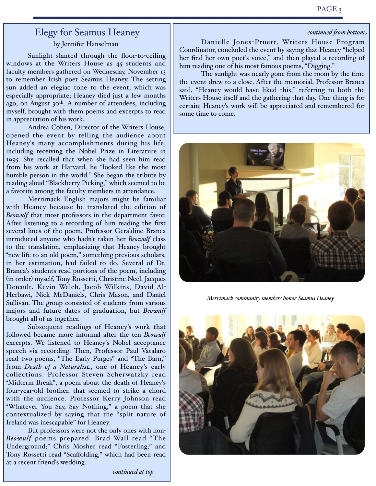#### Elegy for Seamus Heaney by Jennifer Hanselman

Sunlight slanted through the floor-to-ceiling windows at the Writers House as 45 students and faculty members gathered on Wednesday, November 13 to remember Irish poet Seamus Heaney. The setting sun added an elegiac tone to the event, which was especially appropriate; Heaney died just a few months ago, on August  $30<sup>th</sup>$ . A number of attendees, including myself, brought with them poems and excerpts to read in appreciation of his work.

Andrea Cohen, Director of the Writers House, opened the event by telling the audience about Heaney's many accomplishments during his life, including receiving the Nobel Prize in Literature in 1995. She recalled that when she had seen him read from his work at Harvard, he "looked like the most humble person in the world." She began the tribute by reading aloud "Blackberry Picking," which seemed to be a favorite among the faculty members in attendance.

Merrimack English majors might be familiar with Heaney because he translated the edition of *Beowulf* that most professors in the department favor. After listening to a recording of him reading the first several lines of the poem, Professor Geraldine Branca introduced anyone who hadn't taken her *Beowulf* class to the translation, emphasizing that Heaney brought "new life to an old poem," something previous scholars, in her estimation, had failed to do. Several of Dr. Branca's students read portions of the poem, including (in order) myself, Tony Rossetti, Christine Neel, Jacques Denault, Kevin Welch, Jacob Wilkins, David Al-Herbawi, Nick McDaniels, Chris Mason, and Daniel Sullivan. The group consisted of students from various majors and future dates of graduation, but *Beowulf* brought all of us together.

Subsequent readings of Heaney's work that followed became more informal after the ten *Beowulf* excerpts. We listened to Heaney's Nobel acceptance speech via recording. Then, Professor Paul Vatalaro read two poems, "The Early Purges" and "The Barn," from *Death of a Naturalist*, one of Heaney's early collections. Professor Steven Scherwatzky read "Midterm Break", a poem about the death of Heaney's four-year-old brother, that seemed to strike a chord with the audience. Professor Kerry Johnson read "Whatever You Say, Say Nothing," a poem that she contextualized by saying that the "split nature of Ireland was inescapable" for Heaney.

But professors were not the only ones with non-*Beowulf* poems prepared. Brad Wall read "The Underground;" Chris Mosher read "Fosterling;" and Tony Rossetti read "Scaffolding," which had been read at a recent friend's wedding.

 $control from bottom.$ 

Danielle Jones-Pruett, Writers House Program Coordinator, concluded the event by saying that Heaney "helped her find her own poet's voice," and then played a recording of him reading one of his most famous poems, "Digging."

The sunlight was nearly gone from the room by the time the event drew to a close. After the memorial, Professor Branca said, "Heaney would have liked this," referring to both the Writers House itself and the gathering that day. One thing is for certain: Heaney's work will be appreciated and remembered for some time to come.



*Merrimack community members honor Seamus Heaney*



*continued at top*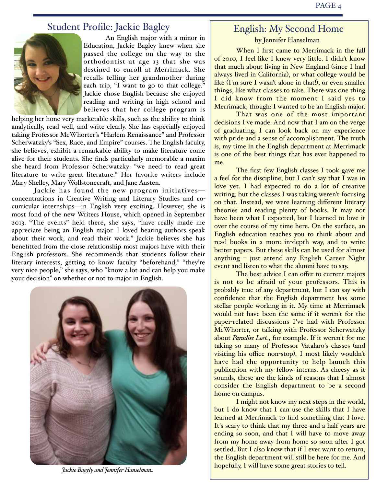#### Student Profile: Jackie Bagley



An English major with a minor in Education, Jackie Bagley knew when she passed the college on the way to the orthodontist at age 13 that she was destined to enroll at Merrimack. She recalls telling her grandmother during each trip, "I want to go to that college." Jackie chose English because she enjoyed reading and writing in high school and believes that her college program is

helping her hone very marketable skills, such as the ability to think analytically, read well, and write clearly. She has especially enjoyed taking Professor McWhorter's "Harlem Renaissance" and Professor Scherwatzky's "Sex, Race, and Empire" courses. The English faculty, she believes, exhibit a remarkable ability to make literature come alive for their students. She finds particularly memorable a maxim she heard from Professor Scherwatzky: "we need to read great literature to write great literature." Her favorite writers include Mary Shelley, Mary Wollstonecraft, and Jane Austen.

Jackie has found the new program initiatives concentrations in Creative Writing and Literary Studies and cocurricular internships—in English very exciting. However, she is most fond of the new Writers House, which opened in September 2013. "The events" held there, she says, "have really made me appreciate being an English major. I loved hearing authors speak about their work, and read their work." Jackie believes she has benefitted from the close relationship most majors have with their English professors. She recommends that students follow their literary interests, getting to know faculty "beforehand;" "they're very nice people," she says, who "know a lot and can help you make your decision" on whether or not to major in English.



*Jackie Bagely and Jennifer Hanselman*

# English: My Second Home

by Jennifer Hanselman

When I first came to Merrimack in the fall of 2010, I feel like I knew very little. I didn't know that much about living in New England (since I had always lived in California), or what college would be like (I'm sure I wasn't alone in that!), or even smaller things, like what classes to take. There was one thing I did know from the moment I said yes to Merrimack, though: I wanted to be an English major.

That was one of the most important decisions I've made. And now that I am on the verge of graduating, I can look back on my experience with pride and a sense of accomplishment. The truth is, my time in the English department at Merrimack is one of the best things that has ever happened to me.

The first few English classes I took gave me a feel for the discipline, but I can't say that I was in love yet. I had expected to do a lot of creative writing, but the classes I was taking weren't focusing on that. Instead, we were learning different literary theories and reading plenty of books. It may not have been what I expected, but I learned to love it over the course of my time here. On the surface, an English education teaches you to think about and read books in a more in-depth way, and to write better papers. But these skills can be used for almost anything – just attend any English Career Night event and listen to what the alumni have to say.

The best advice I can offer to current majors is not to be afraid of your professors. This is probably true of any department, but I can say with confidence that the English department has some stellar people working in it. My time at Merrimack would not have been the same if it weren't for the paper-related discussions I've had with Professor McWhorter, or talking with Professor Scherwatzky about *Paradise Lost*, for example. If it weren't for me taking so many of Professor Vatalaro's classes (and visiting his office non-stop), I most likely wouldn't have had the opportunity to help launch this publication with my fellow interns. As cheesy as it sounds, those are the kinds of reasons that I almost consider the English department to be a second home on campus.

I might not know my next steps in the world, but I do know that I can use the skills that I have learned at Merrimack to find something that I love. It's scary to think that my three and a half years are ending so soon, and that I will have to move away from my home away from home so soon after I got settled. But I also know that if I ever want to return, the English department will still be here for me. And hopefully, I will have some great stories to tell.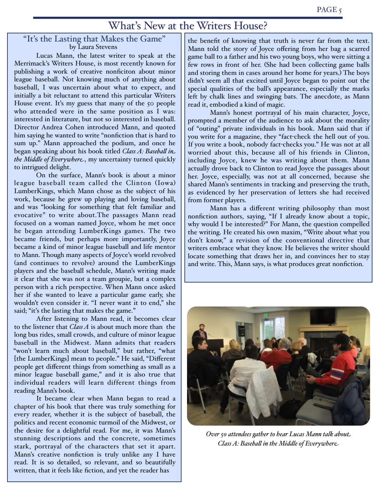## What's New at the Writers House?

# "It's the Lasting that Makes the Game"

Lucas Mann, the latest writer to speak at the Merrimack's Writers House, is most recently known for publishing a work of creative nonficiton about minor league baseball. Not knowing much of anything about baseball, I was uncertain about what to expect, and initially a bit reluctant to attend this particular Writers House event. It's my guess that many of the 50 people who attended were in the same position as I was: interested in literature, but not so interested in baseball. Director Andrea Cohen introduced Mann, and quoted him saying he wanted to write "nonfiction that is hard to sum up." Mann approached the podium, and once he began speaking about his book titled *Class A: Baseba# in the Middle of Everywhere*, my uncertainty turned quickly to intrigued delight.

On the surface, Mann's book is about a minor league baseball team called the Clinton (Iowa) LumberKings, which Mann chose as the subject of his work, because he grew up playing and loving baseball, and was "looking for something that felt familiar and evocative" to write about.The passages Mann read focused on a woman named Joyce, whom he met once he began attending LumberKings games. The two became friends, but perhaps more importantly, Joyce became a kind of minor league baseball and life mentor to Mann. Though many aspects of Joyce's world revolved (and continues to revolve) around the LumberKings players and the baseball schedule, Mann's writing made it clear that she was not a team groupie, but a complex person with a rich perspective. When Mann once asked her if she wanted to leave a particular game early, she wouldn't even consider it. "I never want it to end," she said; "it's the lasting that makes the game."

After listening to Mann read, it becomes clear to the listener that *Class A* is about much more than the long bus rides, small crowds, and culture of minor league baseball in the Midwest. Mann admits that readers "won't learn much about baseball," but rather, "what [the LumberKings] mean to people." He said, "Different people get different things from something as small as a minor league baseball game," and it is also true that individual readers will learn different things from reading Mann's book.

It became clear when Mann began to read a chapter of his book that there was truly something for every reader, whether it is the subject of baseball, the politics and recent economic turmoil of the Midwest, or the desire for a delightful read. For me, it was Mann's stunning descriptions and the concrete, sometimes stark, portrayal of the characters that set it apart. Mann's creative nonfiction is truly unlike any I have read. It is so detailed, so relevant, and so beautifully written, that it feels like fiction, and yet the reader has

the benefit of knowing that truth is never far from the text. Mann told the story of Joyce offering from her bag a scarred game ball to a father and his two young boys, who were sitting a few rows in front of her. (She had been collecting game balls and storing them in cases around her home for years.) The boys didn't seem all that excited until Joyce began to point out the special qualities of the ball's appearance, especially the marks left by chalk lines and swinging bats. The anecdote, as Mann read it, embodied a kind of magic.

Mann's honest portrayal of his main character, Joyce, prompted a member of the audience to ask about the morality of "outing" private individuals in his book. Mann said that if you write for a magazine, they "fact-check the hell out of you. If you write a book, nobody fact-checks you." He was not at all worried about this, because all of his friends in Clinton, including Joyce, knew he was writing about them. Mann actually drove back to Clinton to read Joyce the passages about her. Joyce, especially, was not at all concerned, because she shared Mann's sentiments in tracking and preserving the truth, as evidenced by her preservation of letters she had received from former players.

Mann has a different writing philosophy than most nonfiction authors, saying, "If I already know about a topic, why would I be interested?" For Mann, the question compelled the writing. He created his own maxim, "Write about what you don't know," a revision of the conventional directive that writers embrace what they know. He believes the writer should locate something that draws her in, and convinces her to stay and write. This, Mann says, is what produces great nonfiction.



*Over 50 attendees gather to hear Lucas Mann talk about Class A: Baseba# in the Middle of Everywhere*